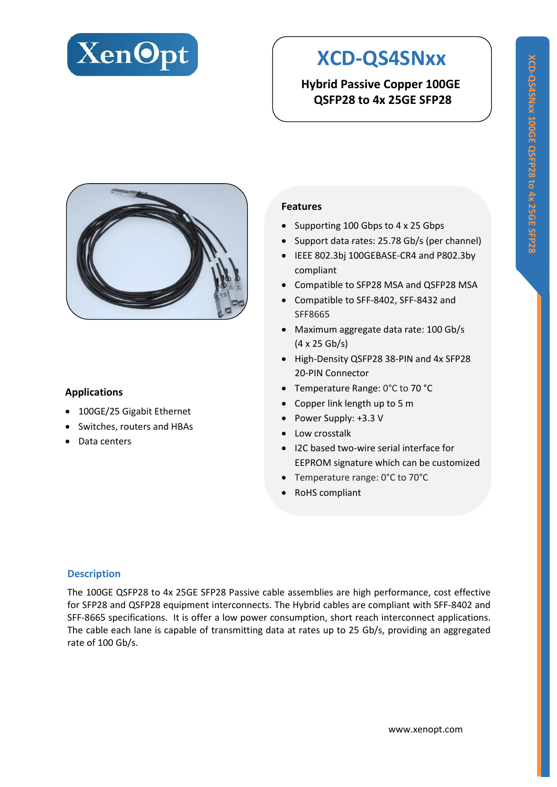

# **XCD-QS4SNxx**

**Hybrid Passive Copper 100GE QSFP28 to 4x 25GE SFP28**



## **Applications**

- 100GE/25 Gigabit Ethernet
- Switches, routers and HBAs
- Data centers

## **Features**

- Supporting 100 Gbps to 4 x 25 Gbps
- Support data rates: 25.78 Gb/s (per channel)
- IEEE 802.3bj 100GEBASE-CR4 and P802.3by compliant
- Compatible to SFP28 MSA and QSFP28 MSA
- Compatible to SFF-8402, SFF-8432 and SFF8665
- Maximum aggregate data rate: 100 Gb/s (4 x 25 Gb/s)
- High-Density QSFP28 38-PIN and 4x SFP28 20-PIN Connector
- Temperature Range: 0°C to 70 °C
- Copper link length up to 5 m
- Power Supply: +3.3 V
- Low crosstalk
- I2C based two-wire serial interface for EEPROM signature which can be customized
- Temperature range: 0°C to 70°C
- RoHS compliant

## **Description**

The 100GE QSFP28 to 4x 25GE SFP28 Passive cable assemblies are high performance, cost effective for SFP28 and QSFP28 equipment interconnects. The Hybrid cables are compliant with SFF-8402 and SFF-8665 specifications. It is offer a low power consumption, short reach interconnect applications. The cable each lane is capable of transmitting data at rates up to 25 Gb/s, providing an aggregated rate of 100 Gb/s.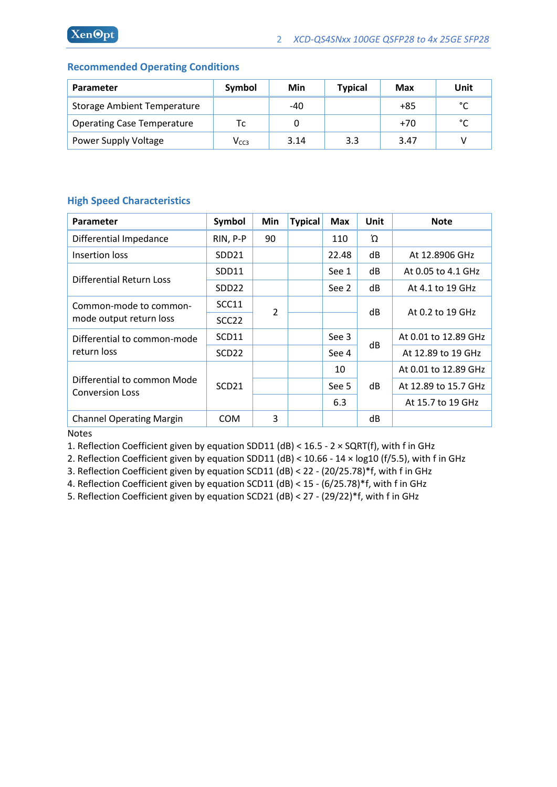## **Recommended Operating Conditions**

| <b>Parameter</b>                   | Symbol                      | Min  | <b>Typical</b> | Max   | Unit          |
|------------------------------------|-----------------------------|------|----------------|-------|---------------|
| <b>Storage Ambient Temperature</b> |                             | -40  |                | +85   | $\mathcal{C}$ |
| <b>Operating Case Temperature</b>  | Тc                          | 0    |                | $+70$ | $\mathcal{C}$ |
| Power Supply Voltage               | $\mathsf{V}_{\mathsf{CC3}}$ | 3.14 | 3.3            | 3.47  |               |

## **High Speed Characteristics**

| <b>Parameter</b>                                      | Symbol            | Min            | <b>Typical</b> | <b>Max</b> | <b>Unit</b> | <b>Note</b>          |
|-------------------------------------------------------|-------------------|----------------|----------------|------------|-------------|----------------------|
| Differential Impedance                                | RIN, P-P          | 90             |                | 110        | Ώ           |                      |
| Insertion loss                                        | SDD <sub>21</sub> |                |                | 22.48      | dB          | At 12.8906 GHz       |
| Differential Return Loss                              | SDD11             |                |                | See 1      | dB          | At 0.05 to 4.1 GHz   |
|                                                       | SDD <sub>22</sub> |                |                | See 2      | dB          | At 4.1 to 19 GHz     |
| Common-mode to common-<br>mode output return loss     | SCC11             | $\overline{2}$ |                |            |             | At 0.2 to 19 GHz     |
|                                                       | SCC <sub>22</sub> |                |                | dB         |             |                      |
| Differential to common-mode<br>return loss            | SCD11             |                |                | See 3      | dB          | At 0.01 to 12.89 GHz |
|                                                       | SCD <sub>22</sub> |                |                | See 4      |             | At 12.89 to 19 GHz   |
| Differential to common Mode<br><b>Conversion Loss</b> | SCD <sub>21</sub> |                |                | 10         | dB          | At 0.01 to 12.89 GHz |
|                                                       |                   |                |                | See 5      |             | At 12.89 to 15.7 GHz |
|                                                       |                   |                |                | 6.3        |             | At 15.7 to 19 GHz    |
| <b>Channel Operating Margin</b>                       | <b>COM</b>        | 3              |                |            | dB          |                      |

Notes

1. Reflection Coefficient given by equation SDD11 (dB) < 16.5 - 2 × SQRT(f), with f in GHz

2. Reflection Coefficient given by equation SDD11 (dB) < 10.66 - 14 × log10 (f/5.5), with f in GHz

3. Reflection Coefficient given by equation SCD11 (dB) < 22 - (20/25.78)\*f, with f in GHz

4. Reflection Coefficient given by equation SCD11 (dB) < 15 - (6/25.78)\*f, with f in GHz

5. Reflection Coefficient given by equation SCD21 (dB) < 27 - (29/22)\*f, with f in GHz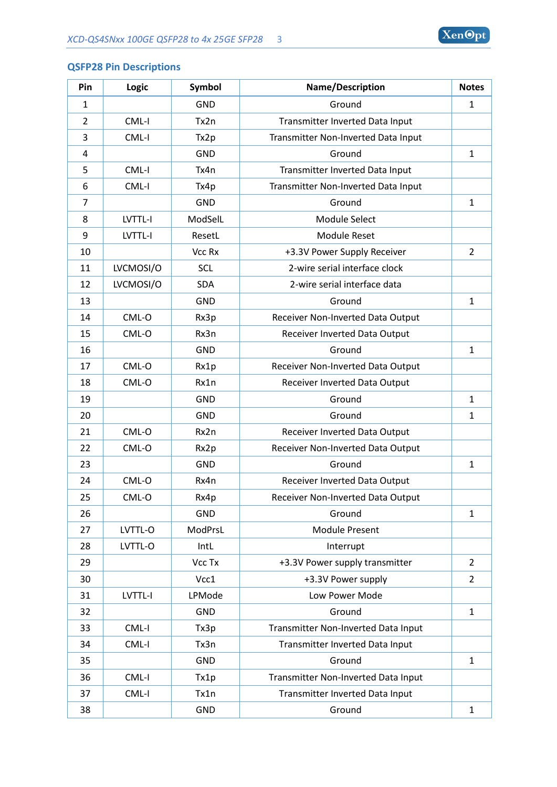

## **QSFP28 Pin Descriptions**

| Pin            | Logic     | Symbol     | Name/Description                    | <b>Notes</b>   |
|----------------|-----------|------------|-------------------------------------|----------------|
| $\mathbf 1$    |           | <b>GND</b> | Ground                              | $\mathbf{1}$   |
| $\overline{2}$ | CML-I     | Tx2n       | Transmitter Inverted Data Input     |                |
| 3              | CML-I     | Tx2p       | Transmitter Non-Inverted Data Input |                |
| 4              |           | <b>GND</b> | Ground                              | $\mathbf{1}$   |
| 5              | CML-I     | Tx4n       | Transmitter Inverted Data Input     |                |
| 6              | CML-I     | Tx4p       | Transmitter Non-Inverted Data Input |                |
| $\overline{7}$ |           | <b>GND</b> | Ground                              | $\mathbf{1}$   |
| 8              | LVTTL-I   | ModSelL    | Module Select                       |                |
| 9              | LVTTL-I   | ResetL     | <b>Module Reset</b>                 |                |
| 10             |           | Vcc Rx     | +3.3V Power Supply Receiver         | $\overline{2}$ |
| 11             | LVCMOSI/O | SCL        | 2-wire serial interface clock       |                |
| 12             | LVCMOSI/O | <b>SDA</b> | 2-wire serial interface data        |                |
| 13             |           | <b>GND</b> | Ground                              | 1              |
| 14             | CML-O     | Rx3p       | Receiver Non-Inverted Data Output   |                |
| 15             | CML-O     | Rx3n       | Receiver Inverted Data Output       |                |
| 16             |           | <b>GND</b> | Ground                              | $\mathbf{1}$   |
| 17             | CML-O     | Rx1p       | Receiver Non-Inverted Data Output   |                |
| 18             | CML-O     | Rx1n       | Receiver Inverted Data Output       |                |
| 19             |           | <b>GND</b> | Ground                              | $\mathbf{1}$   |
| 20             |           | <b>GND</b> | Ground                              | $\mathbf{1}$   |
| 21             | CML-O     | Rx2n       | Receiver Inverted Data Output       |                |
| 22             | CML-O     | Rx2p       | Receiver Non-Inverted Data Output   |                |
| 23             |           | <b>GND</b> | Ground                              | $\mathbf{1}$   |
| 24             | CML-O     | Rx4n       | Receiver Inverted Data Output       |                |
| 25             | CML-O     | Rx4p       | Receiver Non-Inverted Data Output   |                |
| 26             |           | <b>GND</b> | Ground                              | 1              |
| 27             | LVTTL-O   | ModPrsL    | <b>Module Present</b>               |                |
| 28             | LVTTL-O   | IntL       | Interrupt                           |                |
| 29             |           | Vcc Tx     | +3.3V Power supply transmitter      | $\overline{2}$ |
| 30             |           | Vcc1       | +3.3V Power supply                  | $\overline{2}$ |
| 31             | LVTTL-I   | LPMode     | Low Power Mode                      |                |
| 32             |           | <b>GND</b> | Ground                              | $\mathbf{1}$   |
| 33             | CML-I     | Tx3p       | Transmitter Non-Inverted Data Input |                |
| 34             | CML-I     | Tx3n       | Transmitter Inverted Data Input     |                |
| 35             |           | <b>GND</b> | Ground                              | $\mathbf{1}$   |
| 36             | CML-I     | Tx1p       | Transmitter Non-Inverted Data Input |                |
| 37             | CML-I     | Tx1n       | Transmitter Inverted Data Input     |                |
| 38             |           | <b>GND</b> | Ground                              | $\mathbf{1}$   |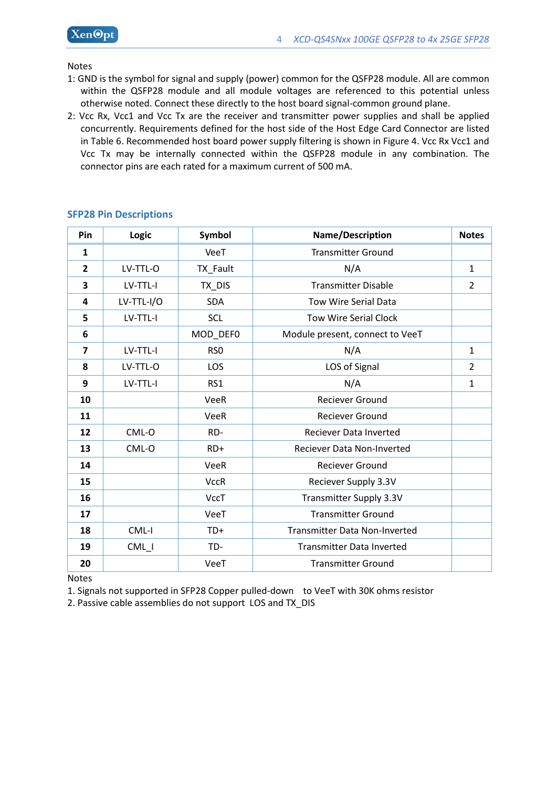Notes

- 1: GND is the symbol for signal and supply (power) common for the QSFP28 module. All are common within the QSFP28 module and all module voltages are referenced to this potential unless otherwise noted. Connect these directly to the host board signal-common ground plane.
- 2: Vcc Rx, Vcc1 and Vcc Tx are the receiver and transmitter power supplies and shall be applied concurrently. Requirements defined for the host side of the Host Edge Card Connector are listed in Table 6. Recommended host board power supply filtering is shown in Figure 4. Vcc Rx Vcc1 and Vcc Tx may be internally connected within the QSFP28 module in any combination. The connector pins are each rated for a maximum current of 500 mA.

| Pin                     | Logic      | Symbol          | Name/Description                     | <b>Notes</b>   |
|-------------------------|------------|-----------------|--------------------------------------|----------------|
| $\mathbf{1}$            |            | VeeT            | <b>Transmitter Ground</b>            |                |
| $\overline{2}$          | LV-TTL-O   | TX_Fault        | N/A                                  | $\mathbf{1}$   |
| 3                       | LV-TTL-I   | TX_DIS          | <b>Transmitter Disable</b>           | $\overline{2}$ |
| 4                       | LV-TTL-I/O | <b>SDA</b>      | <b>Tow Wire Serial Data</b>          |                |
| 5                       | LV-TTL-I   | <b>SCL</b>      | <b>Tow Wire Serial Clock</b>         |                |
| 6                       |            | MOD_DEF0        | Module present, connect to VeeT      |                |
| $\overline{\mathbf{z}}$ | LV-TTL-I   | RS <sub>0</sub> | N/A                                  | $\mathbf{1}$   |
| 8                       | LV-TTL-O   | LOS             | LOS of Signal                        | $\overline{2}$ |
| 9                       | LV-TTL-I   | RS1             | N/A                                  | 1              |
| 10                      |            | VeeR            | <b>Reciever Ground</b>               |                |
| 11                      |            | VeeR            | <b>Reciever Ground</b>               |                |
| 12                      | CML-O      | RD-             | Reciever Data Inverted               |                |
| 13                      | CML-O      | $RD+$           | Reciever Data Non-Inverted           |                |
| 14                      |            | VeeR            | <b>Reciever Ground</b>               |                |
| 15                      |            | <b>VccR</b>     | Reciever Supply 3.3V                 |                |
| 16                      |            | <b>VccT</b>     | Transmitter Supply 3.3V              |                |
| 17                      |            | VeeT            | <b>Transmitter Ground</b>            |                |
| 18                      | CML-I      | TD+             | <b>Transmitter Data Non-Inverted</b> |                |
| 19                      | CML_I      | TD-             | <b>Transmitter Data Inverted</b>     |                |
| 20                      |            | VeeT            | <b>Transmitter Ground</b>            |                |

## **SFP28 Pin Descriptions**

Notes

1. Signals not supported in SFP28 Copper pulled-down to VeeT with 30K ohms resistor

2. Passive cable assemblies do not support LOS and TX\_DIS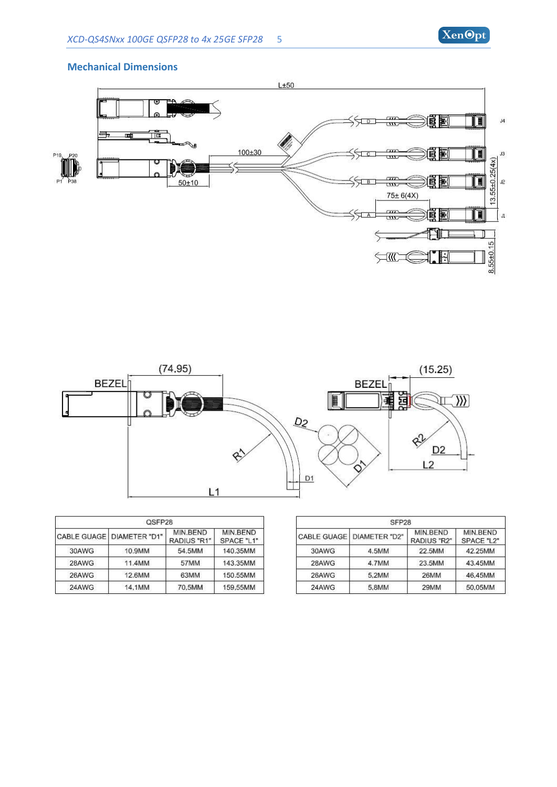

#### **Mechanical Dimensions**





|       | QSFP28                      |                         |                        |                    |  |  |
|-------|-----------------------------|-------------------------|------------------------|--------------------|--|--|
|       | CABLE GUAGE   DIAMETER "D1" | MIN BEND<br>RADIUS "R1" | MIN.BEND<br>SPACE "L1" | <b>CABLE GUAGE</b> |  |  |
| 30AWG | 10.9MM                      | 54.5MM                  | 140.35MM               | 30AWG              |  |  |
| 28AWG | 11.4MM                      | 57MM                    | 143.35MM               | 28AWG              |  |  |
| 26AWG | 12.6MM                      | 63MM                    | 150.55MM               | 26AWG              |  |  |
| 24AWG | 14.1MM                      | 70,5MM                  | 159,55MM               | 24AWG              |  |  |

| SFP <sub>28</sub> |               |                         |                        |  |  |
|-------------------|---------------|-------------------------|------------------------|--|--|
| CABLE GUAGE       | DIAMETER "D2" | MIN.BEND<br>RADIUS "R2" | MIN.BEND<br>SPACE "L2" |  |  |
| 30AWG             | 4.5MM         | 22.5MM                  | 42.25MM                |  |  |
| 28AWG             | 4.7MM         | 23.5MM                  | 43.45MM                |  |  |
| 26AWG             | 5.2MM         | 26MM                    | 46,45MM                |  |  |
| 24AWG             | 5.8MM         | 29MM                    | 50.05MM                |  |  |